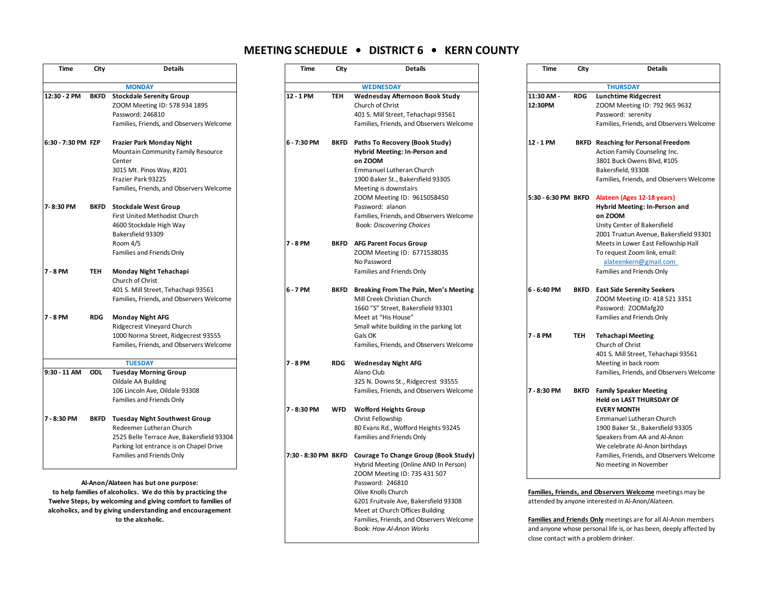## **MEETING SCHEDULE • DISTRICT 6 • KERN COUNTY**

| Time               | City        | Details                                                                                                                                                                                                                                           |
|--------------------|-------------|---------------------------------------------------------------------------------------------------------------------------------------------------------------------------------------------------------------------------------------------------|
|                    |             | <b>MONDAY</b>                                                                                                                                                                                                                                     |
| 12:30 - 2 PM       | <b>BKFD</b> | <b>Stockdale Serenity Group</b>                                                                                                                                                                                                                   |
|                    |             | ZOOM Meeting ID: 578 934 1895                                                                                                                                                                                                                     |
|                    |             | Password: 246810                                                                                                                                                                                                                                  |
|                    |             | Families, Friends, and Observers Welcome                                                                                                                                                                                                          |
| 6:30 - 7:30 PM FZP |             | <b>Frazier Park Monday Night</b>                                                                                                                                                                                                                  |
|                    |             | Mountain Community Family Resource<br>Center                                                                                                                                                                                                      |
|                    |             | 3015 Mt. Pinos Way, #201                                                                                                                                                                                                                          |
|                    |             | Frazier Park 93225                                                                                                                                                                                                                                |
|                    |             | Families, Friends, and Observers Welcome                                                                                                                                                                                                          |
| 7-8:30 PM          | <b>BKFD</b> | <b>Stockdale West Group</b>                                                                                                                                                                                                                       |
|                    |             | First United Methodist Church                                                                                                                                                                                                                     |
|                    |             | 4600 Stockdale High Way                                                                                                                                                                                                                           |
|                    |             | Bakersfield 93309                                                                                                                                                                                                                                 |
|                    |             | Room 4/5                                                                                                                                                                                                                                          |
|                    |             | Families and Friends Only                                                                                                                                                                                                                         |
| 7 - 8 PM           | TEH         | Monday Night Tehachapi                                                                                                                                                                                                                            |
|                    |             | Church of Christ                                                                                                                                                                                                                                  |
|                    |             | 401 S. Mill Street, Tehachapi 93561                                                                                                                                                                                                               |
|                    |             |                                                                                                                                                                                                                                                   |
| 7 - 8 PM           | <b>RDG</b>  | <b>Monday Night AFG</b>                                                                                                                                                                                                                           |
|                    |             | Ridgecrest Vineyard Church                                                                                                                                                                                                                        |
|                    |             |                                                                                                                                                                                                                                                   |
|                    |             |                                                                                                                                                                                                                                                   |
|                    |             | <b>TUESDAY</b>                                                                                                                                                                                                                                    |
| 9:30 - 11 AM       | <b>ODL</b>  |                                                                                                                                                                                                                                                   |
|                    |             |                                                                                                                                                                                                                                                   |
|                    |             |                                                                                                                                                                                                                                                   |
|                    |             |                                                                                                                                                                                                                                                   |
| 7 - 8:30 PM        | <b>BKFD</b> | <b>Tuesday Night Southwest Group</b>                                                                                                                                                                                                              |
|                    |             | Redeemer Lutheran Church                                                                                                                                                                                                                          |
|                    |             | 2525 Belle Terrace Ave, Bakersfield 93304                                                                                                                                                                                                         |
|                    |             | Parking lot entrance is on Chapel Drive                                                                                                                                                                                                           |
|                    |             | Families and Friends Only                                                                                                                                                                                                                         |
|                    |             | Families, Friends, and Observers Welcome<br>1000 Norma Street, Ridgecrest 93555<br>Families, Friends, and Observers Welcome<br><b>Tuesday Morning Group</b><br>Oildale AA Building<br>106 Lincoln Ave, Oildale 93308<br>Families and Friends Only |

| Time               | City       | <b>Details</b>                                                                                                                                                                                                                    | Time                | City        | <b>Details</b>                                                                                                                                                                                       | Time                | City                                                                                                          | <b>Details</b>                                                                                                                                                                                                         |  |  |
|--------------------|------------|-----------------------------------------------------------------------------------------------------------------------------------------------------------------------------------------------------------------------------------|---------------------|-------------|------------------------------------------------------------------------------------------------------------------------------------------------------------------------------------------------------|---------------------|---------------------------------------------------------------------------------------------------------------|------------------------------------------------------------------------------------------------------------------------------------------------------------------------------------------------------------------------|--|--|
|                    |            | <b>MONDAY</b>                                                                                                                                                                                                                     |                     |             | <b>WEDNESDAY</b>                                                                                                                                                                                     |                     |                                                                                                               | <b>THURSDAY</b>                                                                                                                                                                                                        |  |  |
| 12:30 - 2 PM       |            | <b>BKFD</b> Stockdale Serenity Group<br>ZOOM Meeting ID: 578 934 1895<br>Password: 246810<br>Families, Friends, and Observers Welcome                                                                                             | 12 - 1 PM           | <b>TEH</b>  | Wednesday Afternoon Book Study<br>Church of Christ<br>401 S. Mill Street, Tehachapi 93561<br>Families, Friends, and Observers Welcome                                                                | 11:30 AM<br>12:30PM | <b>RDG</b>                                                                                                    | <b>Lunchtime Ridgecrest</b><br>ZOOM Meeting ID: 792 965 9632<br>Password: serenity<br>Families, Friends, and Observers Welcome                                                                                         |  |  |
| 6:30 - 7:30 PM FZP |            | Frazier Park Monday Night<br>Mountain Community Family Resource<br>Center<br>3015 Mt. Pinos Way, #201<br>Frazier Park 93225<br>Families, Friends, and Observers Welcome                                                           | 6 - 7:30 PM         | <b>BKFD</b> | Paths To Recovery (Book Study)<br>Hybrid Meeting: In-Person and<br>on ZOOM<br>Emmanuel Lutheran Church<br>1900 Baker St., Bakersfield 93305<br>Meeting is downstairs                                 | 12 - 1 PM           |                                                                                                               | <b>BKFD</b> Reaching for Personal Freedom<br>Action Family Counseling Inc.<br>3801 Buck Owens Blvd, #105<br>Bakersfield, 93308<br>Families, Friends, and Observers Welcome                                             |  |  |
| 7-8:30 PM          |            | <b>BKFD</b> Stockdale West Group<br>First United Methodist Church<br>4600 Stockdale High Way<br>Bakersfield 93309<br>Room 4/5<br>Families and Friends Only                                                                        | 7 - 8 PM            |             | ZOOM Meeting ID: 9615058450<br>Password: alanon<br>Families, Friends, and Observers Welcome<br><b>Book: Discovering Choices</b><br><b>BKFD</b> AFG Parent Focus Group<br>ZOOM Meeting ID: 6771538035 | 5:30 - 6:30 PM BKFD |                                                                                                               | Alateen (Ages 12-18 years)<br>Hybrid Meeting: In-Person and<br>on ZOOM<br>Unity Center of Bakersfield<br>2001 Truxtun Avenue, Bakersfield 93301<br>Meets in Lower East Fellowship Hall<br>To request Zoom link, email: |  |  |
| 7 - 8 PM           | <b>TEH</b> | Monday Night Tehachapi<br>Church of Christ                                                                                                                                                                                        |                     |             | No Password<br>Families and Friends Only                                                                                                                                                             |                     |                                                                                                               | alateenkern@gmail.com<br>Families and Friends Only                                                                                                                                                                     |  |  |
| 7 - 8 PM           | RDG        | 401 S. Mill Street, Tehachapi 93561<br>Families, Friends, and Observers Welcome<br><b>Monday Night AFG</b><br><b>Ridgecrest Vineyard Church</b>                                                                                   | 6 - 7 PM            | <b>BKFD</b> | Breaking From The Pain, Men's Meeting<br>Mill Creek Christian Church<br>1660 "S" Street, Bakersfield 93301<br>Meet at "His House"<br>Small white building in the parking lot                         | 6 - 6:40 PM         |                                                                                                               | <b>BKFD</b> East Side Serenity Seekers<br>ZOOM Meeting ID: 418 521 3351<br>Password: ZOOMafg20<br>Families and Friends Only                                                                                            |  |  |
|                    |            | 1000 Norma Street, Ridgecrest 93555<br>Families, Friends, and Observers Welcome                                                                                                                                                   |                     |             | Gals OK<br>Families, Friends, and Observers Welcome                                                                                                                                                  | $7 - 8$ PM          | <b>TEH</b>                                                                                                    | <b>Tehachapi Meeting</b><br>Church of Christ<br>401 S. Mill Street, Tehachapi 93561                                                                                                                                    |  |  |
| 9:30 - 11 AM       | ODL        | <b>TUESDAY</b><br><b>Tuesday Morning Group</b><br>Oildale AA Building                                                                                                                                                             | 7 - 8 PM            | <b>RDG</b>  | <b>Wednesday Night AFG</b><br>Alano Club<br>325 N. Downs St., Ridgecrest 93555                                                                                                                       |                     |                                                                                                               | Meeting in back room<br>Families, Friends, and Observers Welcome                                                                                                                                                       |  |  |
|                    |            | 106 Lincoln Ave, Oildale 93308<br>Families and Friends Only                                                                                                                                                                       | 7 - 8:30 PM         | <b>WFD</b>  | Families, Friends, and Observers Welcome<br><b>Wofford Heights Group</b>                                                                                                                             | 7 - 8:30 PM         | <b>BKFD</b>                                                                                                   | <b>Family Speaker Meeting</b><br><b>Held on LAST THURSDAY OF</b><br><b>EVERY MONTH</b>                                                                                                                                 |  |  |
| 7 - 8:30 PM        |            | <b>BKFD</b> Tuesday Night Southwest Group<br>Redeemer Lutheran Church<br>2525 Belle Terrace Ave, Bakersfield 93304<br>Parking lot entrance is on Chapel Drive                                                                     |                     |             | Christ Fellowship<br>80 Evans Rd., Wofford Heights 93245<br>Families and Friends Only                                                                                                                |                     |                                                                                                               | Emmanuel Lutheran Church<br>1900 Baker St., Bakersfield 93305<br>Speakers from AA and Al-Anon<br>We celebrate Al-Anon birthdays                                                                                        |  |  |
|                    |            | Families and Friends Only                                                                                                                                                                                                         | 7:30 - 8:30 PM BKFD |             | Courage To Change Group (Book Study)<br>Hybrid Meeting (Online AND In Person)<br>ZOOM Meeting ID: 735 431 507                                                                                        |                     |                                                                                                               | Families, Friends, and Observers Welcome<br>No meeting in November                                                                                                                                                     |  |  |
|                    |            | Al-Anon/Alateen has but one purpose:<br>to help families of alcoholics. We do this by practicing the<br>Twelve Steps, by welcoming and giving comfort to families of<br>alcoholics, and by giving understanding and encouragement |                     |             | Password: 246810<br>Olive Knolls Church<br>6201 Fruitvale Ave, Bakersfield 93308<br>Meet at Church Offices Building                                                                                  |                     | Families, Friends, and Observers Welcome meetings may be<br>attended by anyone interested in Al-Anon/Alateen. |                                                                                                                                                                                                                        |  |  |
|                    |            | to the alcoholic.                                                                                                                                                                                                                 |                     |             | Families, Friends, and Observers Welcome<br>Book: How Al-Anon Works                                                                                                                                  |                     |                                                                                                               | <b>Families and Friends Only</b> meetings are for all Al-Anon members<br>and anyone whose personal life is, or has been, deeply affected by                                                                            |  |  |

| <b>Details</b>                                               | <b>Time</b> | City<br><b>Details</b> |                                                                |
|--------------------------------------------------------------|-------------|------------------------|----------------------------------------------------------------|
| <b>WEDNESDAY</b>                                             |             |                        | <b>THURSDAY</b>                                                |
| Wednesday Afternoon Book Study                               | 11:30 AM -  | <b>RDG</b>             | <b>Lunchtime Ridgecrest</b>                                    |
| Church of Christ                                             | 12:30PM     |                        | ZOOM Meeting ID: 792 965 9632                                  |
| 401 S. Mill Street, Tehachapi 93561                          |             |                        | Password: serenity                                             |
| Families, Friends, and Observers Welcome                     |             |                        | Families, Friends, and Observers Welcome                       |
| Paths To Recovery (Book Study)                               | 12 - 1 PM   |                        | <b>BKFD</b> Reaching for Personal Freedom                      |
| Hybrid Meeting: In-Person and                                |             |                        | Action Family Counseling Inc.                                  |
| on ZOOM                                                      |             |                        | 3801 Buck Owens Blvd, #105                                     |
| <b>Emmanuel Lutheran Church</b>                              |             |                        | Bakersfield, 93308                                             |
| 1900 Baker St., Bakersfield 93305                            |             |                        | Families, Friends, and Observers Welcome                       |
| Meeting is downstairs                                        |             |                        |                                                                |
| ZOOM Meeting ID: 9615058450                                  |             |                        | 5:30 - 6:30 PM BKFD Alateen (Ages 12-18 years)                 |
| Password: alanon<br>Families, Friends, and Observers Welcome |             |                        | Hybrid Meeting: In-Person and<br>on ZOOM                       |
| <b>Book: Discovering Choices</b>                             |             |                        | Unity Center of Bakersfield                                    |
|                                                              |             |                        | 2001 Truxtun Avenue, Bakersfield 93301                         |
| AFG Parent Focus Group                                       |             |                        | Meets in Lower East Fellowship Hall                            |
| ZOOM Meeting ID: 6771538035                                  |             |                        | To request Zoom link, email:                                   |
| No Password                                                  |             |                        | alateenkern@gmail.com                                          |
| Families and Friends Only                                    |             |                        | Families and Friends Only                                      |
| Breaking From The Pain, Men's Meeting                        | 6 - 6:40 PM |                        | <b>BKFD</b> East Side Serenity Seekers                         |
| Mill Creek Christian Church                                  |             |                        | ZOOM Meeting ID: 418 521 3351                                  |
| 1660 "S" Street, Bakersfield 93301                           |             |                        | Password: ZOOMafg20                                            |
| Meet at "His House"                                          |             |                        | Families and Friends Only                                      |
| Small white building in the parking lot                      |             |                        |                                                                |
| Gals OK                                                      | 7 - 8 PM    | <b>TEH</b>             | <b>Tehachapi Meeting</b>                                       |
| Families, Friends, and Observers Welcome                     |             |                        | Church of Christ                                               |
|                                                              |             |                        | 401 S. Mill Street, Tehachapi 93561                            |
| Wednesday Night AFG                                          |             |                        | Meeting in back room                                           |
| Alano Club                                                   |             |                        | Families, Friends, and Observers Welcome                       |
| 325 N. Downs St., Ridgecrest 93555                           |             |                        |                                                                |
| Families, Friends, and Observers Welcome                     | 7 - 8:30 PM | BKFD                   | <b>Family Speaker Meeting</b>                                  |
|                                                              |             |                        | <b>Held on LAST THURSDAY OF</b>                                |
| Wofford Heights Group                                        |             |                        | <b>EVERY MONTH</b>                                             |
| Christ Fellowship                                            |             |                        | Emmanuel Lutheran Church                                       |
| 80 Evans Rd., Wofford Heights 93245                          |             |                        | 1900 Baker St., Bakersfield 93305                              |
| Families and Friends Only                                    |             |                        | Speakers from AA and Al-Anon<br>We celebrate Al-Anon birthdays |
| Courage To Change Group (Book Study)                         |             |                        | Families, Friends, and Observers Welcome                       |
| Hybrid Meeting (Online AND In Person)                        |             |                        | No meeting in November                                         |
| ZOOM Meeting ID: 735 431 507                                 |             |                        |                                                                |
|                                                              |             |                        |                                                                |

**Families and Friends Only** meetings are for all Al-Anon members and anyone whose personal life is, or has been, deeply affected by close contact with a problem drinker.